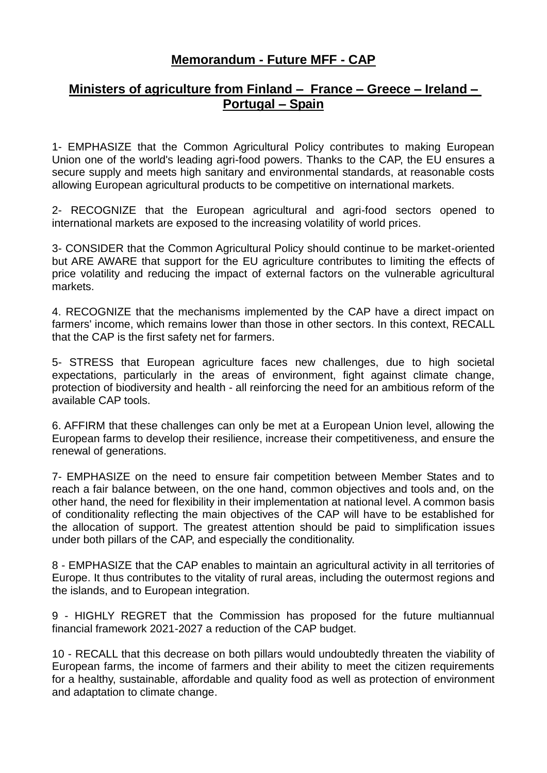## **Memorandum - Future MFF - CAP**

## **Ministers of agriculture from Finland – France – Greece – Ireland – Portugal – Spain**

1- EMPHASIZE that the Common Agricultural Policy contributes to making European Union one of the world's leading agri-food powers. Thanks to the CAP, the EU ensures a secure supply and meets high sanitary and environmental standards, at reasonable costs allowing European agricultural products to be competitive on international markets.

2- RECOGNIZE that the European agricultural and agri-food sectors opened to international markets are exposed to the increasing volatility of world prices.

3- CONSIDER that the Common Agricultural Policy should continue to be market-oriented but ARE AWARE that support for the EU agriculture contributes to limiting the effects of price volatility and reducing the impact of external factors on the vulnerable agricultural markets.

4. RECOGNIZE that the mechanisms implemented by the CAP have a direct impact on farmers' income, which remains lower than those in other sectors. In this context, RECALL that the CAP is the first safety net for farmers.

5- STRESS that European agriculture faces new challenges, due to high societal expectations, particularly in the areas of environment, fight against climate change, protection of biodiversity and health - all reinforcing the need for an ambitious reform of the available CAP tools.

6. AFFIRM that these challenges can only be met at a European Union level, allowing the European farms to develop their resilience, increase their competitiveness, and ensure the renewal of generations.

7- EMPHASIZE on the need to ensure fair competition between Member States and to reach a fair balance between, on the one hand, common objectives and tools and, on the other hand, the need for flexibility in their implementation at national level. A common basis of conditionality reflecting the main objectives of the CAP will have to be established for the allocation of support. The greatest attention should be paid to simplification issues under both pillars of the CAP, and especially the conditionality.

8 - EMPHASIZE that the CAP enables to maintain an agricultural activity in all territories of Europe. It thus contributes to the vitality of rural areas, including the outermost regions and the islands, and to European integration.

9 - HIGHLY REGRET that the Commission has proposed for the future multiannual financial framework 2021-2027 a reduction of the CAP budget.

10 - RECALL that this decrease on both pillars would undoubtedly threaten the viability of European farms, the income of farmers and their ability to meet the citizen requirements for a healthy, sustainable, affordable and quality food as well as protection of environment and adaptation to climate change.